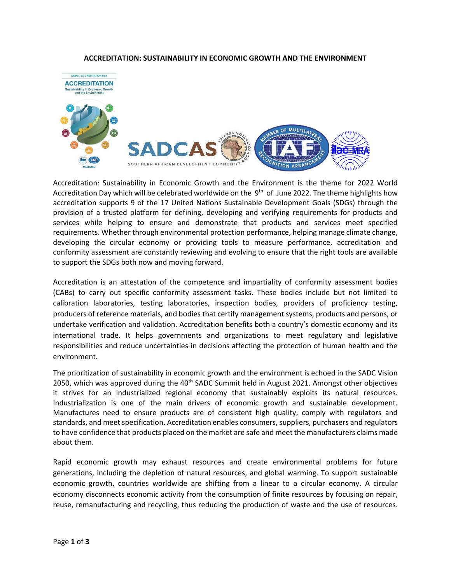## **ACCREDITATION: SUSTAINABILITY IN ECONOMIC GROWTH AND THE ENVIRONMENT**



Accreditation: Sustainability in Economic Growth and the Environment is the theme for 2022 World Accreditation Day which will be celebrated worldwide on the 9<sup>th</sup> of June 2022. The theme highlights how accreditation supports 9 of the 17 United Nations Sustainable Development Goals (SDGs) through the provision of a trusted platform for defining, developing and verifying requirements for products and services while helping to ensure and demonstrate that products and services meet specified requirements. Whether through environmental protection performance, helping manage climate change, developing the circular economy or providing tools to measure performance, accreditation and conformity assessment are constantly reviewing and evolving to ensure that the right tools are available to support the SDGs both now and moving forward.

Accreditation is an attestation of the competence and impartiality of conformity assessment bodies (CABs) to carry out specific conformity assessment tasks. These bodies include but not limited to calibration laboratories, testing laboratories, inspection bodies, providers of proficiency testing, producers of reference materials, and bodies that certify management systems, products and persons, or undertake verification and validation. Accreditation benefits both a country's domestic economy and its international trade. It helps governments and organizations to meet regulatory and legislative responsibilities and reduce uncertainties in decisions affecting the protection of human health and the environment.

The prioritization of sustainability in economic growth and the environment is echoed in the SADC Vision 2050, which was approved during the 40<sup>th</sup> SADC Summit held in August 2021. Amongst other objectives it strives for an industrialized regional economy that sustainably exploits its natural resources. Industrialization is one of the main drivers of economic growth and sustainable development. Manufactures need to ensure products are of consistent high quality, comply with regulators and standards, and meet specification. Accreditation enables consumers, suppliers, purchasers and regulators to have confidence that products placed on the market are safe and meet the manufacturers claims made about them.

Rapid economic growth may exhaust resources and create environmental problems for future generations, including the depletion of natural resources, and global warming. To support sustainable economic growth, countries worldwide are shifting from a linear to a circular economy. A circular economy disconnects economic activity from the consumption of finite resources by focusing on repair, reuse, remanufacturing and recycling, thus reducing the production of waste and the use of resources.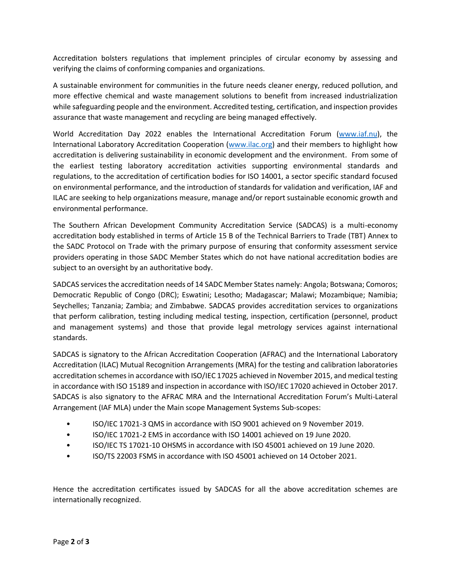Accreditation bolsters regulations that implement principles of circular economy by assessing and verifying the claims of conforming companies and organizations.

A sustainable environment for communities in the future needs cleaner energy, reduced pollution, and more effective chemical and waste management solutions to benefit from increased industrialization while safeguarding people and the environment. Accredited testing, certification, and inspection provides assurance that waste management and recycling are being managed effectively.

World Accreditation Day 2022 enables the International Accreditation Forum [\(www.iaf.nu\)](http://www.iaf.nu/), the International Laboratory Accreditation Cooperation [\(www.ilac.org\)](http://www.ilac.org/) and their members to highlight how accreditation is delivering sustainability in economic development and the environment. From some of the earliest testing laboratory accreditation activities supporting environmental standards and regulations, to the accreditation of certification bodies for ISO 14001, a sector specific standard focused on environmental performance, and the introduction of standards for validation and verification, IAF and ILAC are seeking to help organizations measure, manage and/or report sustainable economic growth and environmental performance.

The Southern African Development Community Accreditation Service (SADCAS) is a multi-economy accreditation body established in terms of Article 15 B of the Technical Barriers to Trade (TBT) Annex to the SADC Protocol on Trade with the primary purpose of ensuring that conformity assessment service providers operating in those SADC Member States which do not have national accreditation bodies are subject to an oversight by an authoritative body.

SADCAS services the accreditation needs of 14 SADC Member States namely: Angola; Botswana; Comoros; Democratic Republic of Congo (DRC); Eswatini; Lesotho; Madagascar; Malawi; Mozambique; Namibia; Seychelles; Tanzania; Zambia; and Zimbabwe. SADCAS provides accreditation services to organizations that perform calibration, testing including medical testing, inspection, certification (personnel, product and management systems) and those that provide legal metrology services against international standards.

SADCAS is signatory to the African Accreditation Cooperation (AFRAC) and the International Laboratory Accreditation (ILAC) Mutual Recognition Arrangements (MRA) for the testing and calibration laboratories accreditation schemes in accordance with ISO/IEC 17025 achieved in November 2015, and medical testing in accordance with ISO 15189 and inspection in accordance with ISO/IEC 17020 achieved in October 2017. SADCAS is also signatory to the AFRAC MRA and the International Accreditation Forum's Multi-Lateral Arrangement (IAF MLA) under the Main scope Management Systems Sub-scopes:

- ISO/IEC 17021-3 QMS in accordance with ISO 9001 achieved on 9 November 2019.
- ISO/IEC 17021-2 EMS in accordance with ISO 14001 achieved on 19 June 2020.
- ISO/IEC TS 17021-10 OHSMS in accordance with ISO 45001 achieved on 19 June 2020.
- ISO/TS 22003 FSMS in accordance with ISO 45001 achieved on 14 October 2021.

Hence the accreditation certificates issued by SADCAS for all the above accreditation schemes are internationally recognized.